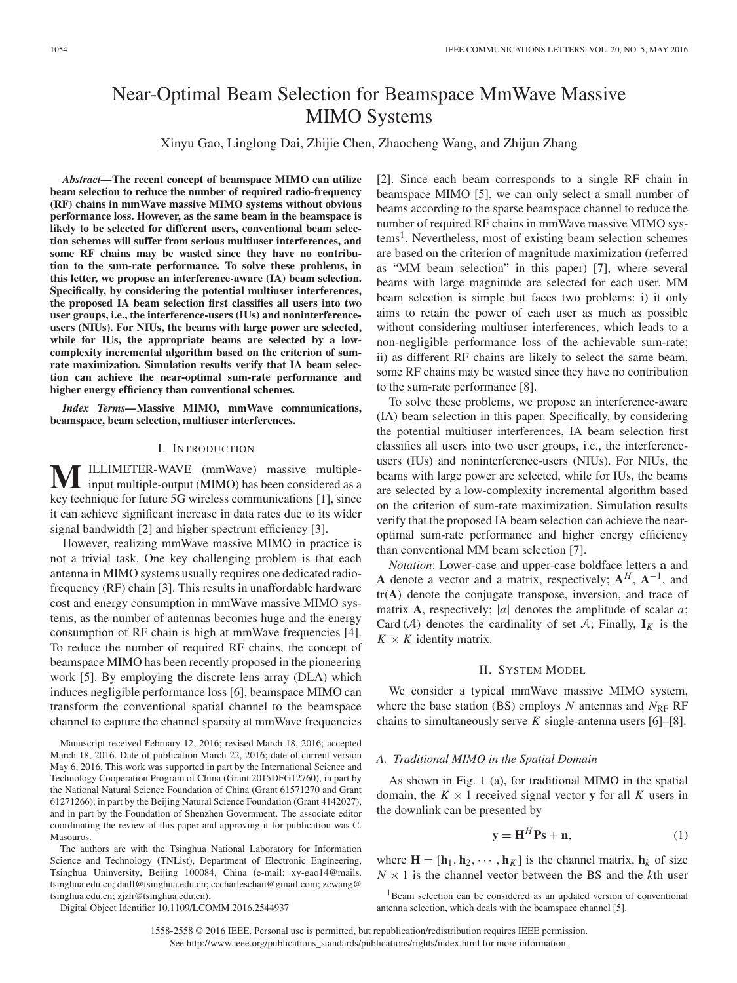# Near-Optimal Beam Selection for Beamspace MmWave Massive MIMO Systems

Xinyu Gao, Linglong Dai, Zhijie Chen, Zhaocheng Wang, and Zhijun Zhang

*Abstract—***The recent concept of beamspace MIMO can utilize beam selection to reduce the number of required radio-frequency (RF) chains in mmWave massive MIMO systems without obvious performance loss. However, as the same beam in the beamspace is likely to be selected for different users, conventional beam selection schemes will suffer from serious multiuser interferences, and some RF chains may be wasted since they have no contribution to the sum-rate performance. To solve these problems, in this letter, we propose an interference-aware (IA) beam selection. Specifically, by considering the potential multiuser interferences, the proposed IA beam selection first classifies all users into two user groups, i.e., the interference-users (IUs) and noninterferenceusers (NIUs). For NIUs, the beams with large power are selected, while for IUs, the appropriate beams are selected by a lowcomplexity incremental algorithm based on the criterion of sumrate maximization. Simulation results verify that IA beam selection can achieve the near-optimal sum-rate performance and higher energy efficiency than conventional schemes.**

*Index Terms—***Massive MIMO, mmWave communications, beamspace, beam selection, multiuser interferences.**

## I. INTRODUCTION

ILLIMETER-WAVE (mmWave) massive multipleinput multiple-output (MIMO) has been considered as a key technique for future 5G wireless communications [1], since it can achieve significant increase in data rates due to its wider signal bandwidth [2] and higher spectrum efficiency [3].

However, realizing mmWave massive MIMO in practice is not a trivial task. One key challenging problem is that each antenna in MIMO systems usually requires one dedicated radiofrequency (RF) chain [3]. This results in unaffordable hardware cost and energy consumption in mmWave massive MIMO systems, as the number of antennas becomes huge and the energy consumption of RF chain is high at mmWave frequencies [4]. To reduce the number of required RF chains, the concept of beamspace MIMO has been recently proposed in the pioneering work [5]. By employing the discrete lens array (DLA) which induces negligible performance loss [6], beamspace MIMO can transform the conventional spatial channel to the beamspace channel to capture the channel sparsity at mmWave frequencies

Manuscript received February 12, 2016; revised March 18, 2016; accepted March 18, 2016. Date of publication March 22, 2016; date of current version May 6, 2016. This work was supported in part by the International Science and Technology Cooperation Program of China (Grant 2015DFG12760), in part by the National Natural Science Foundation of China (Grant 61571270 and Grant 61271266), in part by the Beijing Natural Science Foundation (Grant 4142027), and in part by the Foundation of Shenzhen Government. The associate editor coordinating the review of this paper and approving it for publication was C. Masouros.

The authors are with the Tsinghua National Laboratory for Information Science and Technology (TNList), Department of Electronic Engineering, Tsinghua Uninversity, Beijing 100084, China (e-mail: xy-gao14@mails. tsinghua.edu.cn; daill@tsinghua.edu.cn; cccharleschan@gmail.com; zcwang@ tsinghua.edu.cn; zjzh@tsinghua.edu.cn).

Digital Object Identifier 10.1109/LCOMM.2016.2544937

[2]. Since each beam corresponds to a single RF chain in beamspace MIMO [5], we can only select a small number of beams according to the sparse beamspace channel to reduce the number of required RF chains in mmWave massive MIMO systems<sup>1</sup>. Nevertheless, most of existing beam selection schemes are based on the criterion of magnitude maximization (referred as "MM beam selection" in this paper) [7], where several beams with large magnitude are selected for each user. MM beam selection is simple but faces two problems: i) it only aims to retain the power of each user as much as possible without considering multiuser interferences, which leads to a non-negligible performance loss of the achievable sum-rate; ii) as different RF chains are likely to select the same beam, some RF chains may be wasted since they have no contribution to the sum-rate performance [8].

To solve these problems, we propose an interference-aware (IA) beam selection in this paper. Specifically, by considering the potential multiuser interferences, IA beam selection first classifies all users into two user groups, i.e., the interferenceusers (IUs) and noninterference-users (NIUs). For NIUs, the beams with large power are selected, while for IUs, the beams are selected by a low-complexity incremental algorithm based on the criterion of sum-rate maximization. Simulation results verify that the proposed IA beam selection can achieve the nearoptimal sum-rate performance and higher energy efficiency than conventional MM beam selection [7].

*Notation*: Lower-case and upper-case boldface letters **a** and **A** denote a vector and a matrix, respectively;  $A^H$ ,  $A^{-1}$ , and tr(**A**) denote the conjugate transpose, inversion, and trace of matrix **A**, respectively; |*a*| denotes the amplitude of scalar *a*; Card (A) denotes the cardinality of set A; Finally,  $\mathbf{I}_K$  is the  $K \times K$  identity matrix.

## II. SYSTEM MODEL

We consider a typical mmWave massive MIMO system, where the base station (BS) employs *N* antennas and *N*<sub>RF</sub> RF chains to simultaneously serve *K* single-antenna users [6]–[8].

#### *A. Traditional MIMO in the Spatial Domain*

As shown in Fig. 1 (a), for traditional MIMO in the spatial domain, the  $K \times 1$  received signal vector **y** for all K users in the downlink can be presented by

$$
\mathbf{y} = \mathbf{H}^H \mathbf{P} \mathbf{s} + \mathbf{n},\tag{1}
$$

where  $\mathbf{H} = [\mathbf{h}_1, \mathbf{h}_2, \cdots, \mathbf{h}_K]$  is the channel matrix,  $\mathbf{h}_k$  of size  $N \times 1$  is the channel vector between the BS and the *k*th user

<sup>1</sup>Beam selection can be considered as an updated version of conventional antenna selection, which deals with the beamspace channel [5].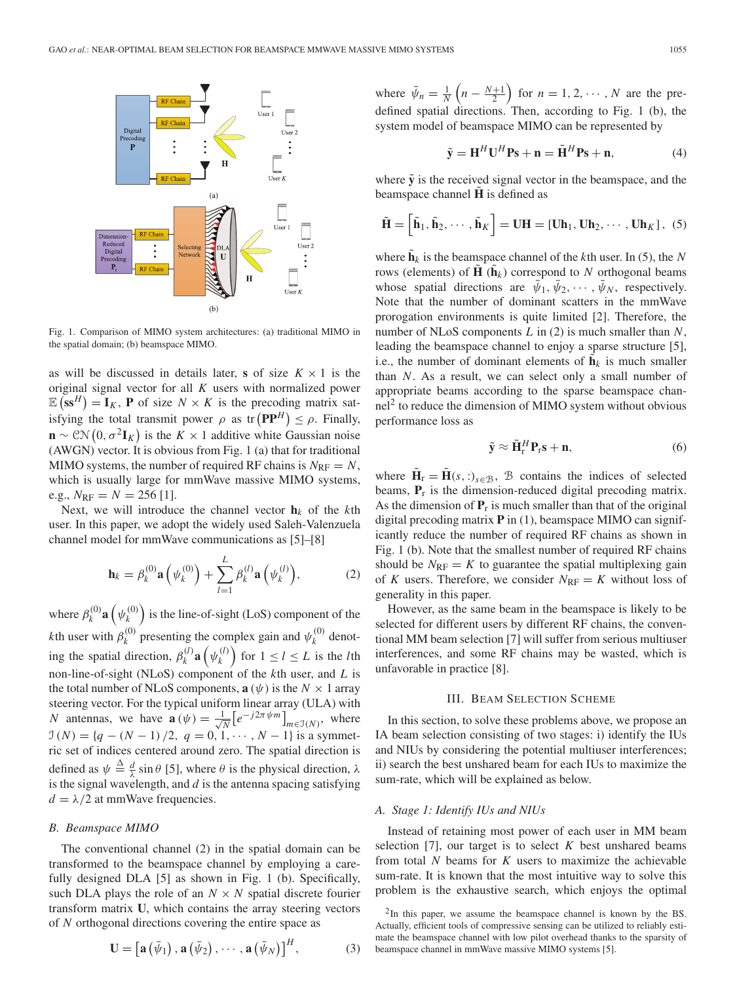

Fig. 1. Comparison of MIMO system architectures: (a) traditional MIMO in the spatial domain; (b) beamspace MIMO.

as will be discussed in details later, **s** of size  $K \times 1$  is the original signal vector for all *K* users with normalized power  $\mathbb{E}(\mathbf{s}\mathbf{s}^H) = \mathbf{I}_K$ , **P** of size  $N \times K$  is the precoding matrix satisfying the total transmit power  $\rho$  as tr  $(PP^H) \leq \rho$ . Finally,  $\mathbf{n} \sim \mathcal{CN}\left(0, \sigma^2 \mathbf{I}_K\right)$  is the *K* × 1 additive white Gaussian noise (AWGN) vector. It is obvious from Fig. 1 (a) that for traditional MIMO systems, the number of required RF chains is  $N_{\text{RF}} = N$ , which is usually large for mmWave massive MIMO systems, e.g.,  $N_{\text{RF}} = N = 256$  [1].

Next, we will introduce the channel vector  $\mathbf{h}_k$  of the *k*th user. In this paper, we adopt the widely used Saleh-Valenzuela channel model for mmWave communications as [5]–[8]

$$
\mathbf{h}_{k} = \beta_{k}^{(0)} \mathbf{a}\left(\psi_{k}^{(0)}\right) + \sum_{l=1}^{L} \beta_{k}^{(l)} \mathbf{a}\left(\psi_{k}^{(l)}\right), \tag{2}
$$

where  $\beta_k^{(0)}$ **a**  $(\psi_k^{(0)})$  is the line-of-sight (LoS) component of the *k*th user with  $\beta_k^{(0)}$  presenting the complex gain and  $\psi_k^{(0)}$  denoting the spatial direction,  $\beta_k^{(l)}$ **a**  $(\psi_k^{(l)})$  for  $1 \le l \le L$  is the *l*th non-line-of-sight (NLoS) component of the *k*th user, and *L* is the total number of NLoS components,  $\mathbf{a}(\psi)$  is the  $N \times 1$  array steering vector. For the typical uniform linear array (ULA) with *N* antennas, we have  $\mathbf{a}(\psi) = \frac{1}{\sqrt{2}}$  $\frac{1}{N} \left[ e^{-j2\pi \psi m} \right]_{m \in J(N)}$ , where  $\mathcal{I}(N) = \{q - (N-1)/2, q = 0, 1, \cdots, N-1\}$  is a symmetric set of indices centered around zero. The spatial direction is defined as  $\psi \triangleq \frac{d}{\lambda} \sin \theta$  [5], where  $\theta$  is the physical direction,  $\lambda$ is the signal wavelength, and *d* is the antenna spacing satisfying  $d = \lambda/2$  at mmWave frequencies.

#### *B. Beamspace MIMO*

The conventional channel (2) in the spatial domain can be transformed to the beamspace channel by employing a carefully designed DLA [5] as shown in Fig. 1 (b). Specifically, such DLA plays the role of an  $N \times N$  spatial discrete fourier transform matrix **U**, which contains the array steering vectors of *N* orthogonal directions covering the entire space as

$$
\mathbf{U} = \left[ \mathbf{a} \left( \bar{\psi}_1 \right), \mathbf{a} \left( \bar{\psi}_2 \right), \cdots, \mathbf{a} \left( \bar{\psi}_N \right) \right]^H, \tag{3}
$$

where  $\bar{\psi}_n = \frac{1}{N} \left( n - \frac{N+1}{2} \right)$  for  $n = 1, 2, \dots, N$  are the predefined spatial directions. Then, according to Fig. 1 (b), the system model of beamspace MIMO can be represented by

$$
\tilde{\mathbf{y}} = \mathbf{H}^H \mathbf{U}^H \mathbf{P} \mathbf{s} + \mathbf{n} = \tilde{\mathbf{H}}^H \mathbf{P} \mathbf{s} + \mathbf{n},\tag{4}
$$

where  $\tilde{y}$  is the received signal vector in the beamspace, and the beamspace channel **H** is defined as

$$
\tilde{\mathbf{H}} = \left[ \tilde{\mathbf{h}}_1, \tilde{\mathbf{h}}_2, \cdots, \tilde{\mathbf{h}}_K \right] = \mathbf{U} \mathbf{H} = \left[ \mathbf{U} \mathbf{h}_1, \mathbf{U} \mathbf{h}_2, \cdots, \mathbf{U} \mathbf{h}_K \right], (5)
$$

where  $\tilde{\mathbf{h}}_k$  is the beamspace channel of the *k*th user. In (5), the *N* rows (elements) of  $\tilde{\mathbf{H}}(\tilde{\mathbf{h}}_k)$  correspond to *N* orthogonal beams whose spatial directions are  $\bar{\psi}_1, \bar{\psi}_2, \cdots, \bar{\psi}_N$ , respectively. Note that the number of dominant scatters in the mmWave prorogation environments is quite limited [2]. Therefore, the number of NLoS components *L* in (2) is much smaller than *N*, leading the beamspace channel to enjoy a sparse structure [5], i.e., the number of dominant elements of  $\mathbf{h}_k$  is much smaller than *N*. As a result, we can select only a small number of appropriate beams according to the sparse beamspace chan- $\text{nel}^2$  to reduce the dimension of MIMO system without obvious performance loss as

$$
\tilde{\mathbf{y}} \approx \tilde{\mathbf{H}}_{\rm r}^H \mathbf{P}_{\rm r} \mathbf{s} + \mathbf{n},\tag{6}
$$

where  $\mathbf{\hat{H}}_{\rm r} = \mathbf{\hat{H}}(s, \cdot)_{s \in \mathcal{B}}$ , B contains the indices of selected beams,  $P_r$  is the dimension-reduced digital precoding matrix. As the dimension of  $P_r$  is much smaller than that of the original digital precoding matrix **P** in (1), beamspace MIMO can significantly reduce the number of required RF chains as shown in Fig. 1 (b). Note that the smallest number of required RF chains should be  $N_{\text{RF}} = K$  to guarantee the spatial multiplexing gain of *K* users. Therefore, we consider  $N_{\text{RF}} = K$  without loss of generality in this paper.

However, as the same beam in the beamspace is likely to be selected for different users by different RF chains, the conventional MM beam selection [7] will suffer from serious multiuser interferences, and some RF chains may be wasted, which is unfavorable in practice [8].

#### III. BEAM SELECTION SCHEME

In this section, to solve these problems above, we propose an IA beam selection consisting of two stages: i) identify the IUs and NIUs by considering the potential multiuser interferences; ii) search the best unshared beam for each IUs to maximize the sum-rate, which will be explained as below.

#### *A. Stage 1: Identify IUs and NIUs*

Instead of retaining most power of each user in MM beam selection  $[7]$ , our target is to select  $K$  best unshared beams from total *N* beams for *K* users to maximize the achievable sum-rate. It is known that the most intuitive way to solve this problem is the exhaustive search, which enjoys the optimal

 $2$ In this paper, we assume the beamspace channel is known by the BS. Actually, efficient tools of compressive sensing can be utilized to reliably estimate the beamspace channel with low pilot overhead thanks to the sparsity of beamspace channel in mmWave massive MIMO systems [5].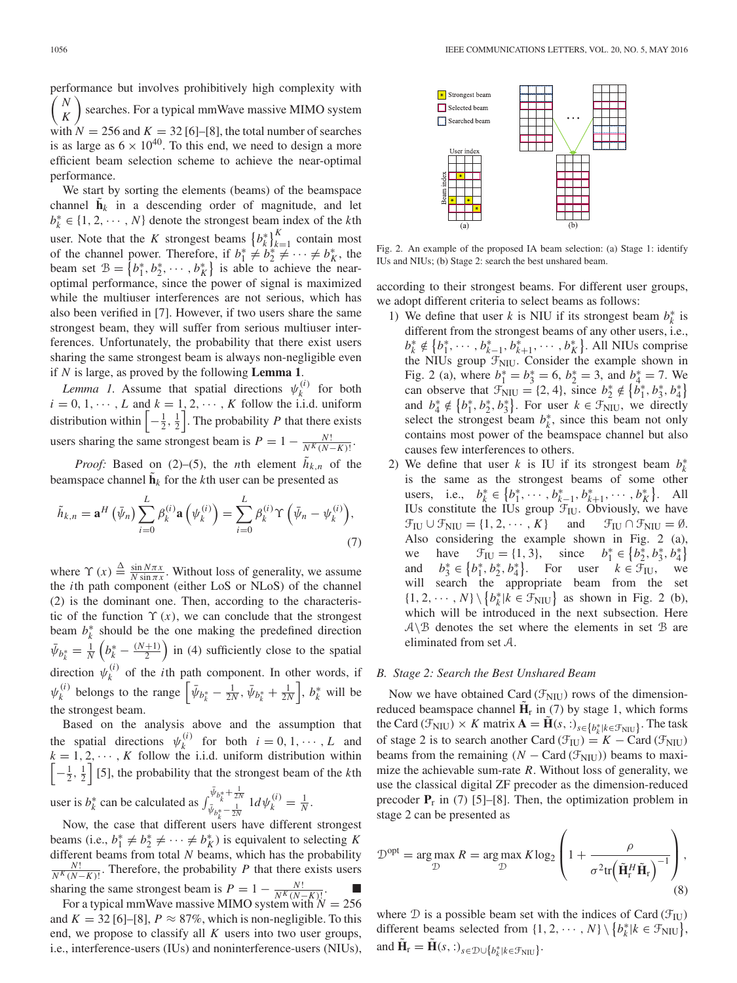performance but involves prohibitively high complexity with *N K*  $\setminus$ searches. For a typical mmWave massive MIMO system with  $N = 256$  and  $K = 32$  [6]–[8], the total number of searches is as large as  $6 \times 10^{40}$ . To this end, we need to design a more efficient beam selection scheme to achieve the near-optimal performance.

We start by sorting the elements (beams) of the beamspace channel  $h_k$  in a descending order of magnitude, and let  $b_k^* \in \{1, 2, \dots, N\}$  denote the strongest beam index of the *k*th user. Note that the *K* strongest beams  $\{b_k^*\}_{k=1}^K$  contain most of the channel power. Therefore, if  $b_1^* \neq b_2^* \neq \cdots \neq b_K^*$ , the beam set  $\mathcal{B} = \{b_1^*, b_2^*, \cdots, b_K^*\}$  is able to achieve the nearoptimal performance, since the power of signal is maximized while the multiuser interferences are not serious, which has also been verified in [7]. However, if two users share the same strongest beam, they will suffer from serious multiuser interferences. Unfortunately, the probability that there exist users sharing the same strongest beam is always non-negligible even if *N* is large, as proved by the following **Lemma 1**.

*Lemma 1.* Assume that spatial directions  $\psi_k^{(i)}$  for both  $i = 0, 1, \dots, L$  and  $k = 1, 2, \dots, K$  follow the i.i.d. uniform distribution within  $\left[-\frac{1}{2},\frac{1}{2}\right]$ . The probability *P* that there exists users sharing the same strongest beam is  $P = 1 - \frac{N!}{N^K (N-K)!}$ .

*Proof:* Based on (2)–(5), the *n*th element  $h_{k,n}$  of the beamspace channel  $\mathbf{h}_k$  for the *k*th user can be presented as

$$
\tilde{h}_{k,n} = \mathbf{a}^H \left( \bar{\psi}_n \right) \sum_{i=0}^L \beta_k^{(i)} \mathbf{a} \left( \psi_k^{(i)} \right) = \sum_{i=0}^L \beta_k^{(i)} \Upsilon \left( \bar{\psi}_n - \psi_k^{(i)} \right),\tag{7}
$$

where  $\Upsilon(x) \triangleq \frac{\sin N\pi x}{N \sin \pi x}$ . Without loss of generality, we assume the *i*th path component (either LoS or NLoS) of the channel (2) is the dominant one. Then, according to the characteristic of the function  $\Upsilon(x)$ , we can conclude that the strongest beam  $b_k^*$  should be the one making the predefined direction  $\bar{\psi}_{b_k^*} = \frac{1}{N} \left( b_k^* - \frac{(N+1)}{2} \right)$  in (4) sufficiently close to the spatial direction  $\psi_k^{(i)}$  of the *i*th path component. In other words, if  $\psi_k^{(i)}$  belongs to the range  $\left[ \bar{\psi}_{b_k^*} - \frac{1}{2N}, \bar{\psi}_{b_k^*} + \frac{1}{2N} \right], b_k^*$  will be the strongest beam.

Based on the analysis above and the assumption that the spatial directions  $\psi_k^{(i)}$  for both  $i = 0, 1, \dots, L$  and  $k = 1, 2, \dots, K$  follow the i.i.d. uniform distribution within  $\left[-\frac{1}{2},\frac{1}{2}\right]$  [5], the probability that the strongest beam of the *k*th user is  $b_k^*$  can be calculated as  $\int_{\bar{\psi}_{k}}^{\bar{\psi}_{k}} b_k^* + \frac{1}{2N}$  $\bar{\psi}_{b_k^*} + \frac{1}{2N} 1 d \psi_k^{(i)} = \frac{1}{N}.$ 

Now, the case that different users have different strongest beams (i.e.,  $b_1^* \neq b_2^* \neq \cdots \neq b_K^*$ ) is equivalent to selecting *K* different beams from total *N* beams, which has the probability  $\frac{N!}{N^K(N-K)!}$ . Therefore, the probability *P* that there exists users sharing the same strongest beam is  $P = 1 - \frac{N!}{N^K (N-K)!}$ . ■<br>For a typical mmWave massive MIMO system with  $N = 256$ 

and  $K = 32$  [6]–[8],  $P \approx 87\%$ , which is non-negligible. To this end, we propose to classify all *K* users into two user groups, i.e., interference-users (IUs) and noninterference-users (NIUs),



Fig. 2. An example of the proposed IA beam selection: (a) Stage 1: identify IUs and NIUs; (b) Stage 2: search the best unshared beam.

according to their strongest beams. For different user groups, we adopt different criteria to select beams as follows:

- 1) We define that user *k* is NIU if its strongest beam  $b_k^*$  is different from the strongest beams of any other users, i.e., *b*<sup>∗</sup><sub>*k*</sub> ∉ {*b*<sup>∗</sup><sub>1</sub>, ··· , *b*<sup>∗</sup><sub>*k*−1</sub>, *b*<sup>∗</sup><sub>*k*+1</sub>, ··· , *b*<sup>∗</sup><sub>*K*</sub>}. All NIUs comprise the NIUs group  $\mathcal{F}_{\text{NIU}}$ . Consider the example shown in Fig. 2 (a), where  $b_1^* = b_3^* = 6$ ,  $b_2^* = 3$ , and  $b_4^* = 7$ . We can observe that  $\mathcal{F}_{\text{NU}} = \{2, 4\}$ , since  $b_2^* \notin \{b_1^*, b_3^*, b_4^*\}$ and  $b_4^* \notin \{b_1^*, b_2^*, b_3^*\}$ . For user  $k \in \mathcal{F}_{\text{NIU}}$ , we directly select the strongest beam  $b_k^*$ , since this beam not only contains most power of the beamspace channel but also causes few interferences to others.
- 2) We define that user *k* is IU if its strongest beam  $b_k^*$ is the same as the strongest beams of some other users, i.e.,  $b_k^* \in \{b_1^*, \cdots, b_{k-1}^*, b_{k+1}^*, \cdots, b_K^*\}$ . All IUs constitute the IUs group  $\mathcal{F}_{\text{IU}}$ . Obviously, we have  $\mathcal{F}_{IU} \cup \mathcal{F}_{NIU} = \{1, 2, \cdots, K\}$  and  $\mathcal{F}_{IU} \cap \mathcal{F}_{NIU} = \emptyset$ . Also considering the example shown in Fig. 2 (a), we have  $\mathcal{F}_{IU} = \{1, 3\}$ , since  $b_1^* \in \{b_2^*, b_3^*, b_4^*\}$ and  $b_3^* \in \{b_1^*, b_2^*, b_4^*\}$ . For user  $k \in \mathcal{F}_{\text{IU}}$ , we will search the appropriate beam from the set  $\{1, 2, \cdots, N\} \setminus \{b_k^* | k \in \mathcal{F}_{\text{NU}}\}$  as shown in Fig. 2 (b), which will be introduced in the next subsection. Here  $A \setminus B$  denotes the set where the elements in set B are eliminated from set A.

## *B. Stage 2: Search the Best Unshared Beam*

Now we have obtained Card ( $\mathcal{F}_{\text{NIU}}$ ) rows of the dimensionreduced beamspace channel  $\tilde{\mathbf{H}}_r$  in (7) by stage 1, which forms the Card ( $\mathcal{F}_{\text{NU}}$ ) × *K* matrix  $\mathbf{A} = \tilde{\mathbf{H}}(s, :)_{s \in \{b_k^* | k \in \mathcal{F}_{\text{NU}}\}}$ . The task of stage 2 is to search another Card ( $\mathcal{F}_{IU}$ ) = *K* – Card ( $\mathcal{F}_{NU}$ ) beams from the remaining  $(N - \text{Card}(\mathcal{F}_{\text{NIU}}))$  beams to maximize the achievable sum-rate *R*. Without loss of generality, we use the classical digital ZF precoder as the dimension-reduced precoder  $P_r$  in (7) [5]–[8]. Then, the optimization problem in stage 2 can be presented as

$$
\mathcal{D}^{\text{opt}} = \underset{\mathcal{D}}{\arg \max} R = \underset{\mathcal{D}}{\arg \max} K \log_2 \left( 1 + \frac{\rho}{\sigma^2 \text{tr} \left( \tilde{\mathbf{H}}_t^H \tilde{\mathbf{H}}_r \right)^{-1}} \right),\tag{8}
$$

where  $\mathcal D$  is a possible beam set with the indices of Card ( $\mathcal{F}_{\text{IU}}$ ) different beams selected from  $\{1, 2, \dots, N\} \setminus \{b_k^* | k \in \mathcal{F}_{\text{NIU}}\},$ and  $\tilde{\mathbf{H}}_{\rm r} = \tilde{\mathbf{H}}(s, :)_{s \in \mathcal{D} \cup \{b_k^* | k \in \mathcal{F}_{\rm NIU}\}}$ .